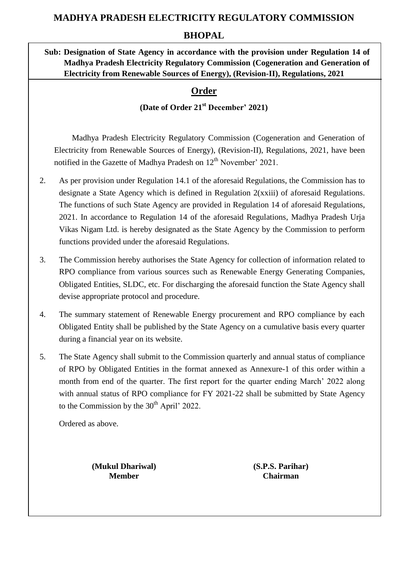# **MADHYA PRADESH ELECTRICITY REGULATORY COMMISSION**

## **BHOPAL**

**Sub: Designation of State Agency in accordance with the provision under Regulation 14 of Madhya Pradesh Electricity Regulatory Commission (Cogeneration and Generation of Electricity from Renewable Sources of Energy), (Revision-II), Regulations, 2021**

# **Order**

# **(Date of Order 21st December' 2021)**

 Madhya Pradesh Electricity Regulatory Commission (Cogeneration and Generation of Electricity from Renewable Sources of Energy), (Revision-II), Regulations, 2021, have been notified in the Gazette of Madhya Pradesh on  $12<sup>th</sup>$  November' 2021.

- 2. As per provision under Regulation 14.1 of the aforesaid Regulations, the Commission has to designate a State Agency which is defined in Regulation 2(xxiii) of aforesaid Regulations. The functions of such State Agency are provided in Regulation 14 of aforesaid Regulations, 2021. In accordance to Regulation 14 of the aforesaid Regulations, Madhya Pradesh Urja Vikas Nigam Ltd. is hereby designated as the State Agency by the Commission to perform functions provided under the aforesaid Regulations.
- 3. The Commission hereby authorises the State Agency for collection of information related to RPO compliance from various sources such as Renewable Energy Generating Companies, Obligated Entities, SLDC, etc. For discharging the aforesaid function the State Agency shall devise appropriate protocol and procedure.
- 4. The summary statement of Renewable Energy procurement and RPO compliance by each Obligated Entity shall be published by the State Agency on a cumulative basis every quarter during a financial year on its website.
- 5. The State Agency shall submit to the Commission quarterly and annual status of compliance of RPO by Obligated Entities in the format annexed as Annexure-1 of this order within a month from end of the quarter. The first report for the quarter ending March' 2022 along with annual status of RPO compliance for FY 2021-22 shall be submitted by State Agency to the Commission by the  $30<sup>th</sup>$  April' 2022.

Ordered as above.

**(Mukul Dhariwal) (S.P.S. Parihar) Member Chairman**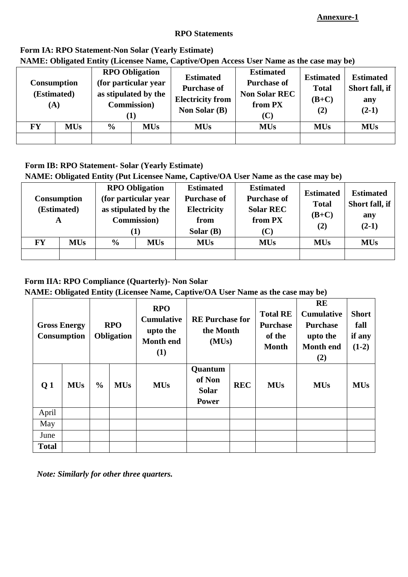### **Annexure-1**

#### **RPO Statements**

### **Form IA: RPO Statement-Non Solar (Yearly Estimate)**

**NAME: Obligated Entity (Licensee Name, Captive/Open Access User Name as the case may be)**

| <b>Consumption</b><br>(Estimated)<br>(A) |                                           | <b>RPO Obligation</b><br>(for particular year<br>as stipulated by the<br><b>Commission</b> )<br>( L ) |            | <b>Estimated</b><br><b>Purchase of</b><br><b>Electricity from</b><br><b>Non Solar (B)</b> | <b>Estimated</b><br><b>Purchase of</b><br><b>Non Solar REC</b><br>from PX<br>$\left( \mathbf{C}\right)$ | <b>Estimated</b><br><b>Total</b><br>$(B+C)$<br>(2) | <b>Estimated</b><br>Short fall, if<br>any<br>$(2-1)$ |
|------------------------------------------|-------------------------------------------|-------------------------------------------------------------------------------------------------------|------------|-------------------------------------------------------------------------------------------|---------------------------------------------------------------------------------------------------------|----------------------------------------------------|------------------------------------------------------|
| <b>FY</b>                                | <b>MUs</b><br>$\frac{6}{6}$<br><b>MUs</b> |                                                                                                       | <b>MUs</b> | <b>MUs</b>                                                                                | <b>MUs</b>                                                                                              | <b>MUs</b>                                         |                                                      |
|                                          |                                           |                                                                                                       |            |                                                                                           |                                                                                                         |                                                    |                                                      |

#### **Form IB: RPO Statement- Solar (Yearly Estimate)**

**NAME: Obligated Entity (Put Licensee Name, Captive/OA User Name as the case may be)**

| A  | <b>Consumption</b><br>(Estimated) | <b>RPO Obligation</b><br>(for particular year<br>as stipulated by the<br><b>Commission</b> )<br>$\bf(1)$ |  | <b>Estimated</b><br><b>Purchase of</b><br><b>Electricity</b><br>from<br>Solar $(B)$ | <b>Estimated</b><br><b>Purchase of</b><br><b>Solar REC</b><br>from PX<br>(C) | <b>Estimated</b><br><b>Total</b><br>$(B+C)$<br>(2) | <b>Estimated</b><br>Short fall, if<br>any<br>$(2-1)$ |
|----|-----------------------------------|----------------------------------------------------------------------------------------------------------|--|-------------------------------------------------------------------------------------|------------------------------------------------------------------------------|----------------------------------------------------|------------------------------------------------------|
| FY | <b>MUs</b>                        | $\frac{6}{6}$<br><b>MUs</b>                                                                              |  | <b>MUs</b>                                                                          | <b>MUs</b>                                                                   | <b>MUs</b>                                         | <b>MUs</b>                                           |
|    |                                   |                                                                                                          |  |                                                                                     |                                                                              |                                                    |                                                      |

## **Form IIA: RPO Compliance (Quarterly)- Non Solar**

**NAME: Obligated Entity (Licensee Name, Captive/OA User Name as the case may be)**

|                | <b>Gross Energy</b><br><b>Consumption</b> |               | <b>RPO</b><br><b>Obligation</b> | <b>RPO</b><br><b>Cumulative</b><br>upto the<br><b>Month end</b><br>(1) | <b>RE</b> Purchase for<br>the Month<br>(MUs)      |            | <b>Total RE</b><br><b>Purchase</b><br>of the<br><b>Month</b> | <b>RE</b><br><b>Cumulative</b><br><b>Purchase</b><br>upto the<br><b>Month</b> end<br>(2) | <b>Short</b><br>fall<br>if any<br>$(1-2)$ |
|----------------|-------------------------------------------|---------------|---------------------------------|------------------------------------------------------------------------|---------------------------------------------------|------------|--------------------------------------------------------------|------------------------------------------------------------------------------------------|-------------------------------------------|
| Q <sub>1</sub> | <b>MUs</b>                                | $\frac{0}{0}$ | <b>MUs</b>                      | <b>MUs</b>                                                             | Quantum<br>of Non<br><b>Solar</b><br><b>Power</b> | <b>REC</b> | <b>MUs</b>                                                   | <b>MUs</b>                                                                               | <b>MUs</b>                                |
| April          |                                           |               |                                 |                                                                        |                                                   |            |                                                              |                                                                                          |                                           |
| May            |                                           |               |                                 |                                                                        |                                                   |            |                                                              |                                                                                          |                                           |
| June           |                                           |               |                                 |                                                                        |                                                   |            |                                                              |                                                                                          |                                           |
| <b>Total</b>   |                                           |               |                                 |                                                                        |                                                   |            |                                                              |                                                                                          |                                           |

 *Note: Similarly for other three quarters.*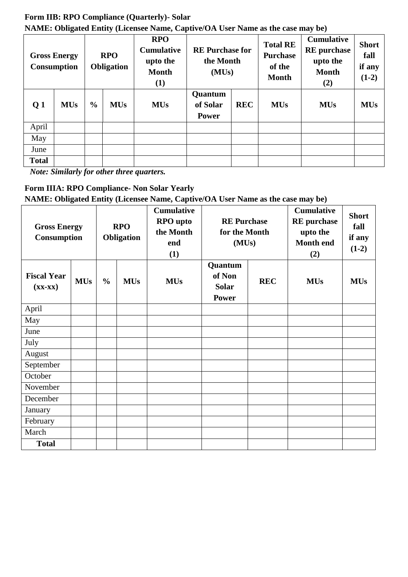#### **Form IIB: RPO Compliance (Quarterly)- Solar NAME: Obligated Entity (Licensee Name, Captive/OA User Name as the case may be)**

| <b>Gross Energy</b><br><b>Consumption</b> |            | <b>RPO</b><br>Obligation |            | <b>RPO</b><br><b>RE</b> Purchase for<br><b>Cumulative</b><br>the Month<br>upto the<br><b>Month</b><br>(MUs)<br>(1) |                                     | <b>Total RE</b><br><b>Purchase</b><br>of the<br><b>Month</b> | <b>Cumulative</b><br><b>RE</b> purchase<br>upto the<br><b>Month</b><br>(2) | <b>Short</b><br>fall<br>if any<br>$(1-2)$ |            |
|-------------------------------------------|------------|--------------------------|------------|--------------------------------------------------------------------------------------------------------------------|-------------------------------------|--------------------------------------------------------------|----------------------------------------------------------------------------|-------------------------------------------|------------|
| Q <sub>1</sub>                            | <b>MUs</b> | $\frac{0}{0}$            | <b>MUs</b> | <b>MUs</b>                                                                                                         | Quantum<br>of Solar<br><b>Power</b> | <b>REC</b>                                                   | <b>MUs</b>                                                                 | <b>MUs</b>                                | <b>MUs</b> |
| April                                     |            |                          |            |                                                                                                                    |                                     |                                                              |                                                                            |                                           |            |
| May                                       |            |                          |            |                                                                                                                    |                                     |                                                              |                                                                            |                                           |            |
| June                                      |            |                          |            |                                                                                                                    |                                     |                                                              |                                                                            |                                           |            |
| <b>Total</b>                              |            |                          |            |                                                                                                                    |                                     |                                                              |                                                                            |                                           |            |

*Note: Similarly for other three quarters.*

# **Form IIIA: RPO Compliance- Non Solar Yearly**

**NAME: Obligated Entity (Licensee Name, Captive/OA User Name as the case may be)**

| <b>Gross Energy</b><br>Consumption                |            | <b>RPO</b><br><b>Obligation</b> |            | <b>Cumulative</b><br><b>RPO</b> upto<br>the Month<br>end<br>(1) | <b>RE</b> Purchase<br>for the Month<br>(MUs)      |            | <b>Cumulative</b><br><b>RE</b> purchase<br>upto the<br><b>Month end</b><br>(2) | <b>Short</b><br>fall<br>if any<br>$(1-2)$ |
|---------------------------------------------------|------------|---------------------------------|------------|-----------------------------------------------------------------|---------------------------------------------------|------------|--------------------------------------------------------------------------------|-------------------------------------------|
| <b>Fiscal Year</b><br>$(\mathbf{XX}-\mathbf{XX})$ | <b>MUs</b> | $\frac{0}{0}$                   | <b>MUs</b> | <b>MUs</b>                                                      | Quantum<br>of Non<br><b>Solar</b><br><b>Power</b> | <b>REC</b> | <b>MUs</b>                                                                     | <b>MUs</b>                                |
| April                                             |            |                                 |            |                                                                 |                                                   |            |                                                                                |                                           |
| May                                               |            |                                 |            |                                                                 |                                                   |            |                                                                                |                                           |
| June                                              |            |                                 |            |                                                                 |                                                   |            |                                                                                |                                           |
| July                                              |            |                                 |            |                                                                 |                                                   |            |                                                                                |                                           |
| August                                            |            |                                 |            |                                                                 |                                                   |            |                                                                                |                                           |
| September                                         |            |                                 |            |                                                                 |                                                   |            |                                                                                |                                           |
| October                                           |            |                                 |            |                                                                 |                                                   |            |                                                                                |                                           |
| November                                          |            |                                 |            |                                                                 |                                                   |            |                                                                                |                                           |
| December                                          |            |                                 |            |                                                                 |                                                   |            |                                                                                |                                           |
| January                                           |            |                                 |            |                                                                 |                                                   |            |                                                                                |                                           |
| February                                          |            |                                 |            |                                                                 |                                                   |            |                                                                                |                                           |
| March                                             |            |                                 |            |                                                                 |                                                   |            |                                                                                |                                           |
| <b>Total</b>                                      |            |                                 |            |                                                                 |                                                   |            |                                                                                |                                           |